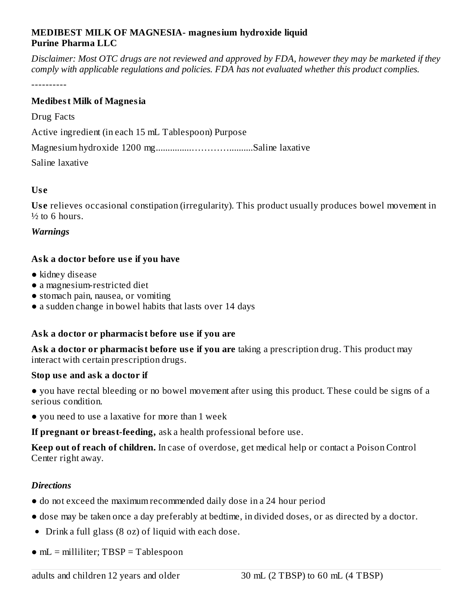## **MEDIBEST MILK OF MAGNESIA- magnesium hydroxide liquid Purine Pharma LLC**

Disclaimer: Most OTC drugs are not reviewed and approved by FDA, however they may be marketed if they *comply with applicable regulations and policies. FDA has not evaluated whether this product complies.*

----------

## **Medibest Milk of Magnesia**

Drug Facts

Active ingredient (in each 15 mL Tablespoon) Purpose

Magnesium hydroxide 1200 mg...............…………..........Saline laxative

Saline laxative

#### **Us e**

Use relieves occasional constipation (irregularity). This product usually produces bowel movement in  $\frac{1}{2}$  to 6 hours.

#### *Warnings*

# **Ask a doctor before us e if you have**

- kidney disease
- a magnesium-restricted diet
- stomach pain, nausea, or vomiting
- a sudden change in bowel habits that lasts over 14 days

# **Ask a doctor or pharmacist before us e if you are**

**Ask a doctor or pharmacist before us e if you are** taking a prescription drug. This product may interact with certain prescription drugs.

## **Stop us e and ask a doctor if**

● you have rectal bleeding or no bowel movement after using this product. These could be signs of a serious condition.

● you need to use a laxative for more than 1 week

**If pregnant or breast-feeding,** ask a health professional before use.

**Keep out of reach of children.** In case of overdose, get medical help or contact a Poison Control Center right away.

## *Directions*

- do not exceed the maximum recommended daily dose in a 24 hour period
- dose may be taken once a day preferably at bedtime, in divided doses, or as directed by a doctor.
- Drink a full glass (8 oz) of liquid with each dose.
- mL = milliliter; TBSP = Tablespoon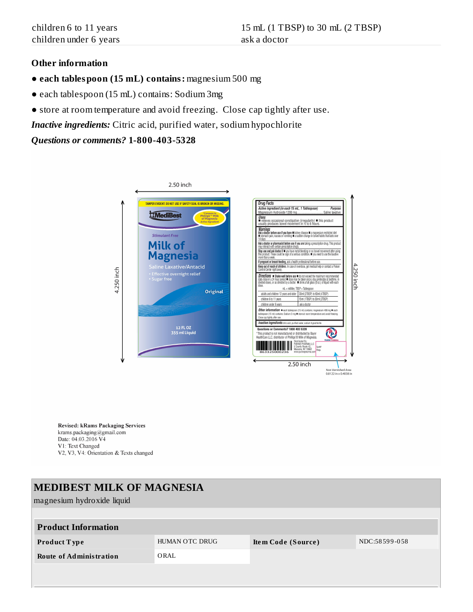#### **Other information**

- **each tablespoon (15 mL) contains:** magnesium 500 mg
- each tablespoon (15 mL) contains: Sodium 3mg
- store at room temperature and avoid freezing. Close cap tightly after use.
- *Inactive ingredients:* Citric acid, purified water, sodium hypochlorite

#### *Questions or comments?* **1-800-403-5328**



**Revised: kRams Packaging Services** krams.packaging@gmail.com Date: 04.03.2016 V4 V1: Text Changed V2, V3, V4: Orientation & Texts changed

| <b>MEDIBEST MILK OF MAGNESIA</b> |                |                    |               |  |  |  |
|----------------------------------|----------------|--------------------|---------------|--|--|--|
| magnesium hydroxide liquid       |                |                    |               |  |  |  |
|                                  |                |                    |               |  |  |  |
| <b>Product Information</b>       |                |                    |               |  |  |  |
| <b>Product Type</b>              | HUMAN OTC DRUG | Item Code (Source) | NDC:58599-058 |  |  |  |
| <b>Route of Administration</b>   | ORAL           |                    |               |  |  |  |
|                                  |                |                    |               |  |  |  |
|                                  |                |                    |               |  |  |  |